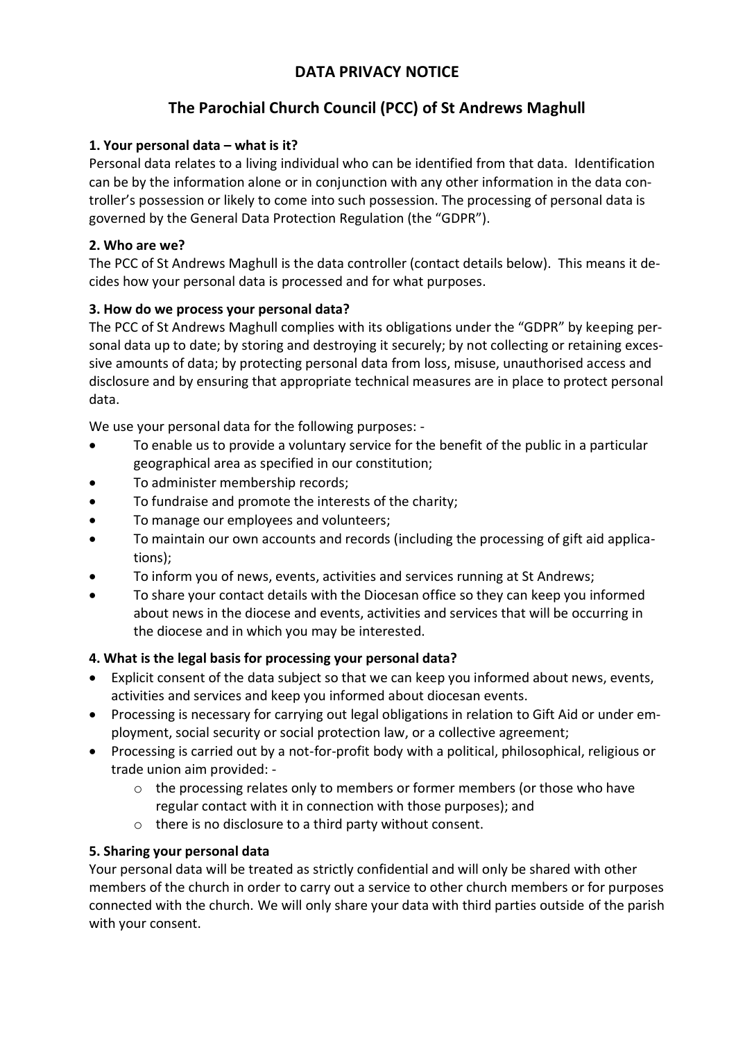# **DATA PRIVACY NOTICE**

# **The Parochial Church Council (PCC) of St Andrews Maghull**

## **1. Your personal data – what is it?**

Personal data relates to a living individual who can be identified from that data. Identification can be by the information alone or in conjunction with any other information in the data controller's possession or likely to come into such possession. The processing of personal data is governed by the General Data Protection Regulation (the "GDPR").

#### **2. Who are we?**

The PCC of St Andrews Maghull is the data controller (contact details below). This means it decides how your personal data is processed and for what purposes.

### **3. How do we process your personal data?**

The PCC of St Andrews Maghull complies with its obligations under the "GDPR" by keeping personal data up to date; by storing and destroying it securely; by not collecting or retaining excessive amounts of data; by protecting personal data from loss, misuse, unauthorised access and disclosure and by ensuring that appropriate technical measures are in place to protect personal data.

We use your personal data for the following purposes: -

- To enable us to provide a voluntary service for the benefit of the public in a particular geographical area as specified in our constitution;
- To administer membership records;
- To fundraise and promote the interests of the charity;
- To manage our employees and volunteers;
- To maintain our own accounts and records (including the processing of gift aid applications);
- To inform you of news, events, activities and services running at St Andrews;
- To share your contact details with the Diocesan office so they can keep you informed about news in the diocese and events, activities and services that will be occurring in the diocese and in which you may be interested.

#### **4. What is the legal basis for processing your personal data?**

- Explicit consent of the data subject so that we can keep you informed about news, events, activities and services and keep you informed about diocesan events.
- Processing is necessary for carrying out legal obligations in relation to Gift Aid or under employment, social security or social protection law, or a collective agreement;
- Processing is carried out by a not-for-profit body with a political, philosophical, religious or trade union aim provided:
	- o the processing relates only to members or former members (or those who have regular contact with it in connection with those purposes); and
	- o there is no disclosure to a third party without consent.

#### **5. Sharing your personal data**

Your personal data will be treated as strictly confidential and will only be shared with other members of the church in order to carry out a service to other church members or for purposes connected with the church. We will only share your data with third parties outside of the parish with your consent.